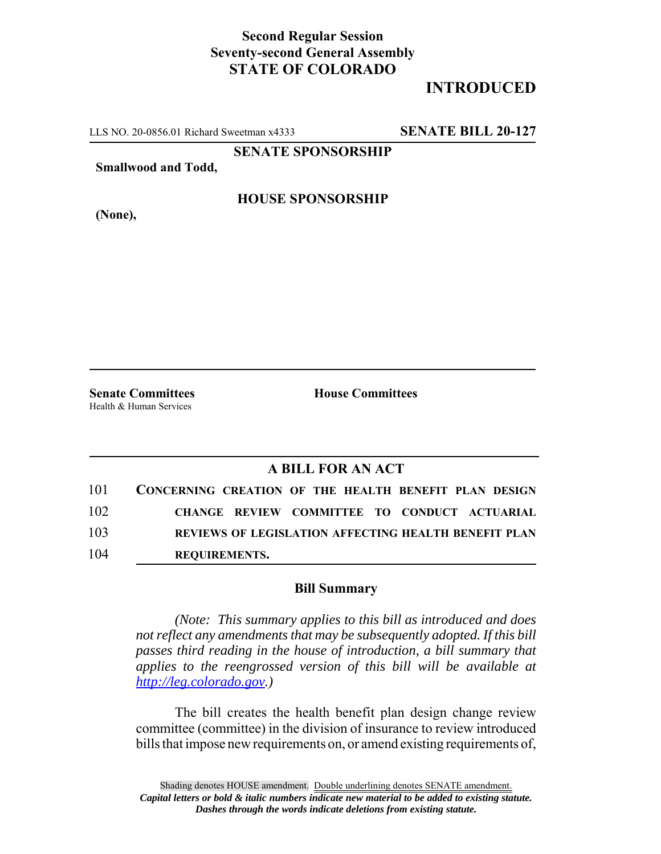## **Second Regular Session Seventy-second General Assembly STATE OF COLORADO**

## **INTRODUCED**

LLS NO. 20-0856.01 Richard Sweetman x4333 **SENATE BILL 20-127**

**SENATE SPONSORSHIP**

**Smallwood and Todd,**

**HOUSE SPONSORSHIP**

**(None),**

Health & Human Services

**Senate Committees House Committees** 

## **A BILL FOR AN ACT**

| 101 | CONCERNING CREATION OF THE HEALTH BENEFIT PLAN DESIGN |
|-----|-------------------------------------------------------|
| 102 | CHANGE REVIEW COMMITTEE TO CONDUCT ACTUARIAL          |
| 103 | REVIEWS OF LEGISLATION AFFECTING HEALTH BENEFIT PLAN  |
| 104 | <b>REOUIREMENTS.</b>                                  |

## **Bill Summary**

*(Note: This summary applies to this bill as introduced and does not reflect any amendments that may be subsequently adopted. If this bill passes third reading in the house of introduction, a bill summary that applies to the reengrossed version of this bill will be available at http://leg.colorado.gov.)*

The bill creates the health benefit plan design change review committee (committee) in the division of insurance to review introduced bills that impose new requirements on, or amend existing requirements of,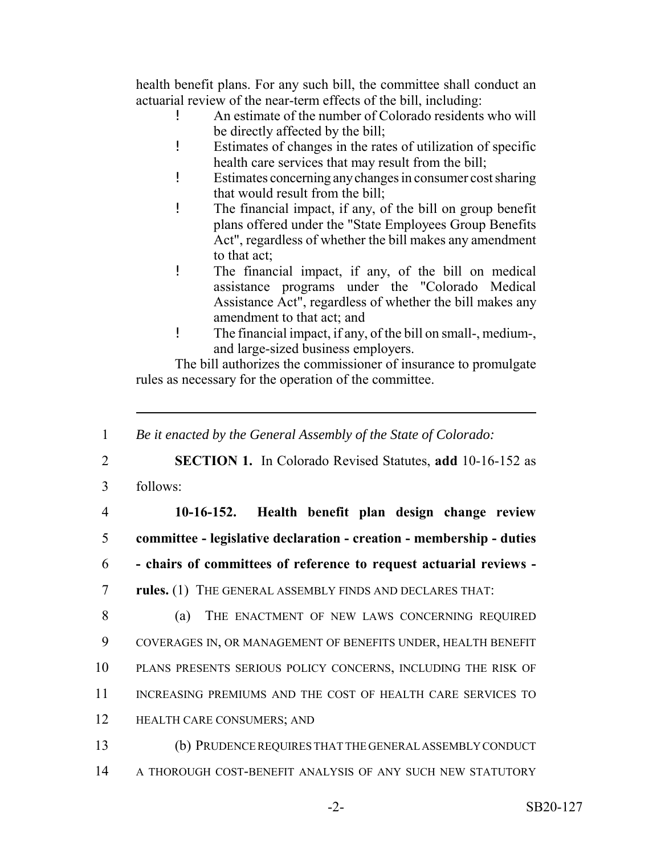health benefit plans. For any such bill, the committee shall conduct an actuarial review of the near-term effects of the bill, including:

- ! An estimate of the number of Colorado residents who will be directly affected by the bill;
- ! Estimates of changes in the rates of utilization of specific health care services that may result from the bill;
- ! Estimates concerning any changes in consumer cost sharing that would result from the bill;
- ! The financial impact, if any, of the bill on group benefit plans offered under the "State Employees Group Benefits Act", regardless of whether the bill makes any amendment to that act;
- ! The financial impact, if any, of the bill on medical assistance programs under the "Colorado Medical Assistance Act", regardless of whether the bill makes any amendment to that act; and
- ! The financial impact, if any, of the bill on small-, medium-, and large-sized business employers.

The bill authorizes the commissioner of insurance to promulgate rules as necessary for the operation of the committee.

 *Be it enacted by the General Assembly of the State of Colorado:* **SECTION 1.** In Colorado Revised Statutes, **add** 10-16-152 as 3 follows: **10-16-152. Health benefit plan design change review committee - legislative declaration - creation - membership - duties - chairs of committees of reference to request actuarial reviews - rules.** (1) THE GENERAL ASSEMBLY FINDS AND DECLARES THAT: 8 (a) THE ENACTMENT OF NEW LAWS CONCERNING REQUIRED COVERAGES IN, OR MANAGEMENT OF BENEFITS UNDER, HEALTH BENEFIT PLANS PRESENTS SERIOUS POLICY CONCERNS, INCLUDING THE RISK OF 11 INCREASING PREMIUMS AND THE COST OF HEALTH CARE SERVICES TO HEALTH CARE CONSUMERS; AND (b) PRUDENCE REQUIRES THAT THE GENERAL ASSEMBLY CONDUCT A THOROUGH COST-BENEFIT ANALYSIS OF ANY SUCH NEW STATUTORY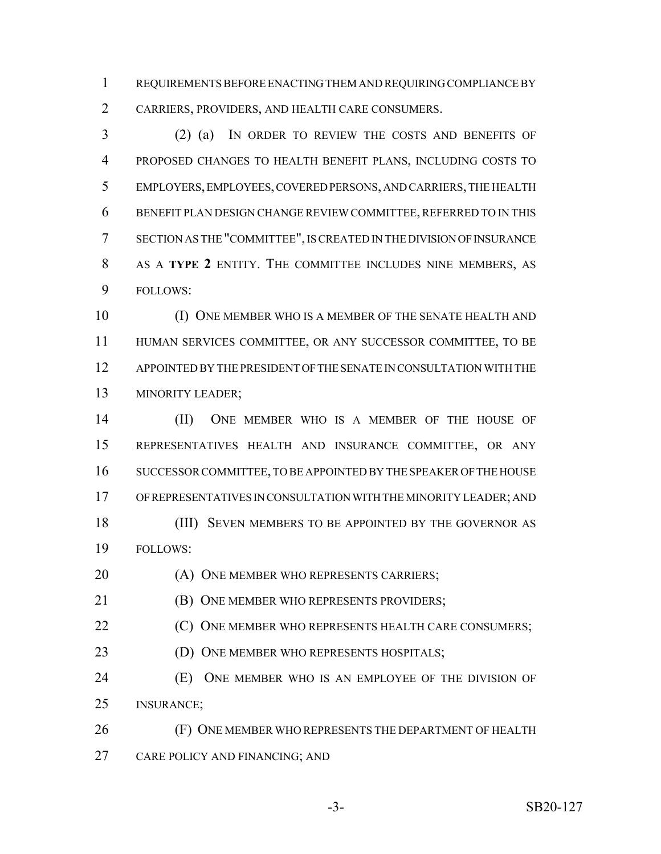REQUIREMENTS BEFORE ENACTING THEM AND REQUIRING COMPLIANCE BY CARRIERS, PROVIDERS, AND HEALTH CARE CONSUMERS.

 (2) (a) IN ORDER TO REVIEW THE COSTS AND BENEFITS OF PROPOSED CHANGES TO HEALTH BENEFIT PLANS, INCLUDING COSTS TO EMPLOYERS, EMPLOYEES, COVERED PERSONS, AND CARRIERS, THE HEALTH BENEFIT PLAN DESIGN CHANGE REVIEW COMMITTEE, REFERRED TO IN THIS SECTION AS THE "COMMITTEE", IS CREATED IN THE DIVISION OF INSURANCE AS A **TYPE 2** ENTITY. THE COMMITTEE INCLUDES NINE MEMBERS, AS FOLLOWS:

 (I) ONE MEMBER WHO IS A MEMBER OF THE SENATE HEALTH AND HUMAN SERVICES COMMITTEE, OR ANY SUCCESSOR COMMITTEE, TO BE APPOINTED BY THE PRESIDENT OF THE SENATE IN CONSULTATION WITH THE MINORITY LEADER;

 (II) ONE MEMBER WHO IS A MEMBER OF THE HOUSE OF REPRESENTATIVES HEALTH AND INSURANCE COMMITTEE, OR ANY SUCCESSOR COMMITTEE, TO BE APPOINTED BY THE SPEAKER OF THE HOUSE OF REPRESENTATIVES IN CONSULTATION WITH THE MINORITY LEADER; AND 18 (III) SEVEN MEMBERS TO BE APPOINTED BY THE GOVERNOR AS FOLLOWS:

20 (A) ONE MEMBER WHO REPRESENTS CARRIERS;

**(B) ONE MEMBER WHO REPRESENTS PROVIDERS;** 

**(C)** ONE MEMBER WHO REPRESENTS HEALTH CARE CONSUMERS;

23 (D) ONE MEMBER WHO REPRESENTS HOSPITALS;

 (E) ONE MEMBER WHO IS AN EMPLOYEE OF THE DIVISION OF INSURANCE;

**(F) ONE MEMBER WHO REPRESENTS THE DEPARTMENT OF HEALTH** CARE POLICY AND FINANCING; AND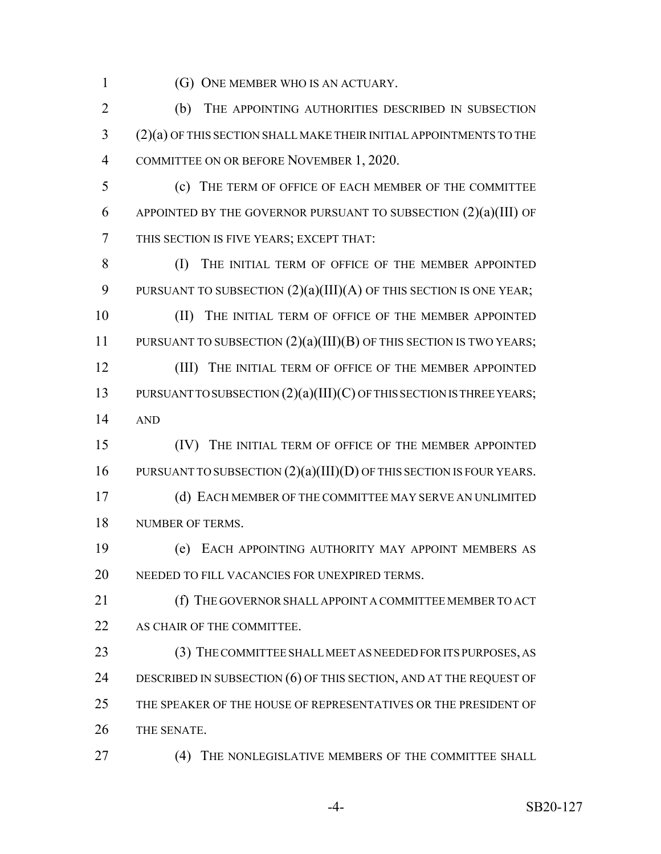1 (G) ONE MEMBER WHO IS AN ACTUARY.

2 (b) THE APPOINTING AUTHORITIES DESCRIBED IN SUBSECTION 3 (2)(a) OF THIS SECTION SHALL MAKE THEIR INITIAL APPOINTMENTS TO THE 4 COMMITTEE ON OR BEFORE NOVEMBER 1, 2020.

5 (c) THE TERM OF OFFICE OF EACH MEMBER OF THE COMMITTEE 6 APPOINTED BY THE GOVERNOR PURSUANT TO SUBSECTION  $(2)(a)(III)$  OF 7 THIS SECTION IS FIVE YEARS; EXCEPT THAT:

8 (I) THE INITIAL TERM OF OFFICE OF THE MEMBER APPOINTED 9 PURSUANT TO SUBSECTION  $(2)(a)(III)(A)$  OF THIS SECTION IS ONE YEAR;

10 (II) THE INITIAL TERM OF OFFICE OF THE MEMBER APPOINTED 11 PURSUANT TO SUBSECTION  $(2)(a)(III)(B)$  OF THIS SECTION IS TWO YEARS;

12 **(III)** THE INITIAL TERM OF OFFICE OF THE MEMBER APPOINTED 13 PURSUANT TO SUBSECTION  $(2)(a)(III)(C)$  OF THIS SECTION IS THREE YEARS; 14 AND

15 (IV) THE INITIAL TERM OF OFFICE OF THE MEMBER APPOINTED 16 PURSUANT TO SUBSECTION  $(2)(a)(III)(D)$  OF THIS SECTION IS FOUR YEARS.

17 (d) EACH MEMBER OF THE COMMITTEE MAY SERVE AN UNLIMITED 18 NUMBER OF TERMS.

19 (e) EACH APPOINTING AUTHORITY MAY APPOINT MEMBERS AS 20 NEEDED TO FILL VACANCIES FOR UNEXPIRED TERMS.

21 (f) THE GOVERNOR SHALL APPOINT A COMMITTEE MEMBER TO ACT 22 AS CHAIR OF THE COMMITTEE.

 (3) THE COMMITTEE SHALL MEET AS NEEDED FOR ITS PURPOSES, AS 24 DESCRIBED IN SUBSECTION (6) OF THIS SECTION, AND AT THE REQUEST OF THE SPEAKER OF THE HOUSE OF REPRESENTATIVES OR THE PRESIDENT OF THE SENATE.

27 (4) THE NONLEGISLATIVE MEMBERS OF THE COMMITTEE SHALL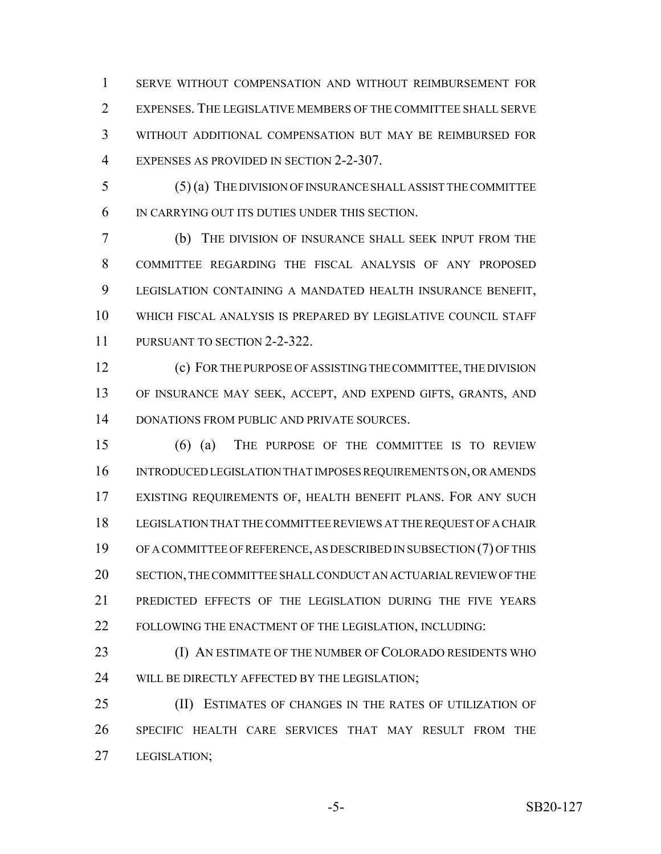SERVE WITHOUT COMPENSATION AND WITHOUT REIMBURSEMENT FOR EXPENSES. THE LEGISLATIVE MEMBERS OF THE COMMITTEE SHALL SERVE WITHOUT ADDITIONAL COMPENSATION BUT MAY BE REIMBURSED FOR EXPENSES AS PROVIDED IN SECTION 2-2-307.

 (5) (a) THE DIVISION OF INSURANCE SHALL ASSIST THE COMMITTEE IN CARRYING OUT ITS DUTIES UNDER THIS SECTION.

 (b) THE DIVISION OF INSURANCE SHALL SEEK INPUT FROM THE COMMITTEE REGARDING THE FISCAL ANALYSIS OF ANY PROPOSED LEGISLATION CONTAINING A MANDATED HEALTH INSURANCE BENEFIT, WHICH FISCAL ANALYSIS IS PREPARED BY LEGISLATIVE COUNCIL STAFF PURSUANT TO SECTION 2-2-322.

 (c) FOR THE PURPOSE OF ASSISTING THE COMMITTEE, THE DIVISION OF INSURANCE MAY SEEK, ACCEPT, AND EXPEND GIFTS, GRANTS, AND DONATIONS FROM PUBLIC AND PRIVATE SOURCES.

 (6) (a) THE PURPOSE OF THE COMMITTEE IS TO REVIEW INTRODUCED LEGISLATION THAT IMPOSES REQUIREMENTS ON, OR AMENDS EXISTING REQUIREMENTS OF, HEALTH BENEFIT PLANS. FOR ANY SUCH LEGISLATION THAT THE COMMITTEE REVIEWS AT THE REQUEST OF A CHAIR OF A COMMITTEE OF REFERENCE, AS DESCRIBED IN SUBSECTION (7) OF THIS SECTION, THE COMMITTEE SHALL CONDUCT AN ACTUARIAL REVIEW OF THE PREDICTED EFFECTS OF THE LEGISLATION DURING THE FIVE YEARS FOLLOWING THE ENACTMENT OF THE LEGISLATION, INCLUDING:

23 (I) AN ESTIMATE OF THE NUMBER OF COLORADO RESIDENTS WHO 24 WILL BE DIRECTLY AFFECTED BY THE LEGISLATION;

 (II) ESTIMATES OF CHANGES IN THE RATES OF UTILIZATION OF SPECIFIC HEALTH CARE SERVICES THAT MAY RESULT FROM THE LEGISLATION;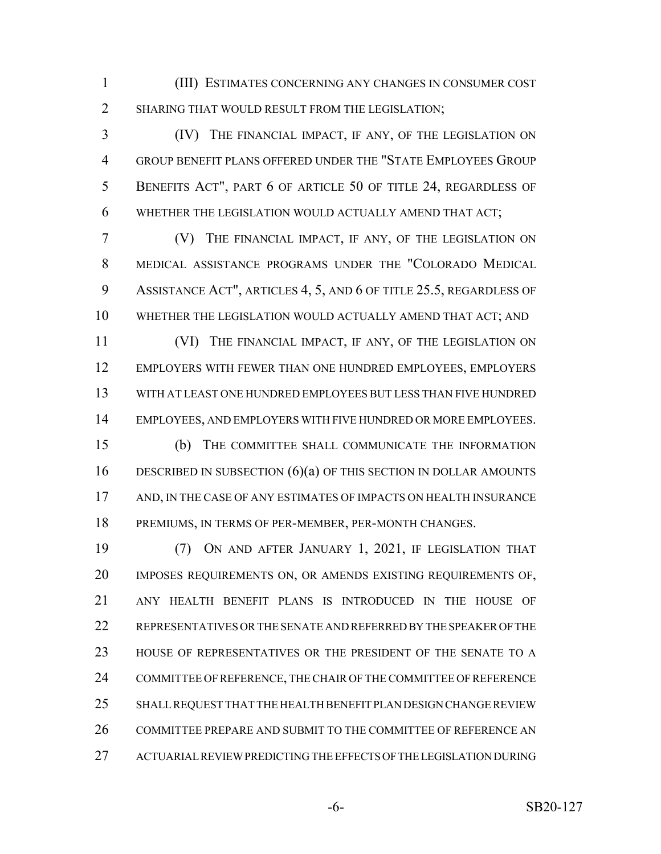(III) ESTIMATES CONCERNING ANY CHANGES IN CONSUMER COST SHARING THAT WOULD RESULT FROM THE LEGISLATION;

 (IV) THE FINANCIAL IMPACT, IF ANY, OF THE LEGISLATION ON GROUP BENEFIT PLANS OFFERED UNDER THE "STATE EMPLOYEES GROUP BENEFITS ACT", PART 6 OF ARTICLE 50 OF TITLE 24, REGARDLESS OF WHETHER THE LEGISLATION WOULD ACTUALLY AMEND THAT ACT;

 (V) THE FINANCIAL IMPACT, IF ANY, OF THE LEGISLATION ON MEDICAL ASSISTANCE PROGRAMS UNDER THE "COLORADO MEDICAL 9 ASSISTANCE ACT", ARTICLES 4, 5, AND 6 OF TITLE 25.5, REGARDLESS OF WHETHER THE LEGISLATION WOULD ACTUALLY AMEND THAT ACT; AND

 (VI) THE FINANCIAL IMPACT, IF ANY, OF THE LEGISLATION ON EMPLOYERS WITH FEWER THAN ONE HUNDRED EMPLOYEES, EMPLOYERS WITH AT LEAST ONE HUNDRED EMPLOYEES BUT LESS THAN FIVE HUNDRED EMPLOYEES, AND EMPLOYERS WITH FIVE HUNDRED OR MORE EMPLOYEES.

 (b) THE COMMITTEE SHALL COMMUNICATE THE INFORMATION DESCRIBED IN SUBSECTION (6)(a) OF THIS SECTION IN DOLLAR AMOUNTS AND, IN THE CASE OF ANY ESTIMATES OF IMPACTS ON HEALTH INSURANCE PREMIUMS, IN TERMS OF PER-MEMBER, PER-MONTH CHANGES.

 (7) ON AND AFTER JANUARY 1, 2021, IF LEGISLATION THAT IMPOSES REQUIREMENTS ON, OR AMENDS EXISTING REQUIREMENTS OF, ANY HEALTH BENEFIT PLANS IS INTRODUCED IN THE HOUSE OF REPRESENTATIVES OR THE SENATE AND REFERRED BY THE SPEAKER OF THE HOUSE OF REPRESENTATIVES OR THE PRESIDENT OF THE SENATE TO A COMMITTEE OF REFERENCE, THE CHAIR OF THE COMMITTEE OF REFERENCE SHALL REQUEST THAT THE HEALTH BENEFIT PLAN DESIGN CHANGE REVIEW 26 COMMITTEE PREPARE AND SUBMIT TO THE COMMITTEE OF REFERENCE AN ACTUARIAL REVIEW PREDICTING THE EFFECTS OF THE LEGISLATION DURING